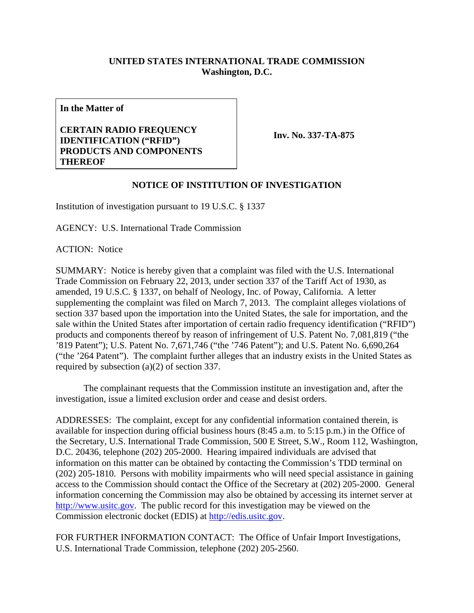## **UNITED STATES INTERNATIONAL TRADE COMMISSION Washington, D.C.**

**In the Matter of** 

## **CERTAIN RADIO FREQUENCY IDENTIFICATION ("RFID") PRODUCTS AND COMPONENTS THEREOF**

**Inv. No. 337-TA-875**

## **NOTICE OF INSTITUTION OF INVESTIGATION**

Institution of investigation pursuant to 19 U.S.C. § 1337

AGENCY: U.S. International Trade Commission

ACTION: Notice

SUMMARY: Notice is hereby given that a complaint was filed with the U.S. International Trade Commission on February 22, 2013, under section 337 of the Tariff Act of 1930, as amended, 19 U.S.C. § 1337, on behalf of Neology, Inc. of Poway, California. A letter supplementing the complaint was filed on March 7, 2013. The complaint alleges violations of section 337 based upon the importation into the United States, the sale for importation, and the sale within the United States after importation of certain radio frequency identification ("RFID") products and components thereof by reason of infringement of U.S. Patent No. 7,081,819 ("the '819 Patent"); U.S. Patent No. 7,671,746 ("the '746 Patent"); and U.S. Patent No. 6,690,264 ("the '264 Patent"). The complaint further alleges that an industry exists in the United States as required by subsection (a)(2) of section 337.

 The complainant requests that the Commission institute an investigation and, after the investigation, issue a limited exclusion order and cease and desist orders.

ADDRESSES: The complaint, except for any confidential information contained therein, is available for inspection during official business hours (8:45 a.m. to 5:15 p.m.) in the Office of the Secretary, U.S. International Trade Commission, 500 E Street, S.W., Room 112, Washington, D.C. 20436, telephone (202) 205-2000. Hearing impaired individuals are advised that information on this matter can be obtained by contacting the Commission's TDD terminal on (202) 205-1810. Persons with mobility impairments who will need special assistance in gaining access to the Commission should contact the Office of the Secretary at (202) 205-2000. General information concerning the Commission may also be obtained by accessing its internet server at http://www.usitc.gov. The public record for this investigation may be viewed on the Commission electronic docket (EDIS) at http://edis.usitc.gov.

FOR FURTHER INFORMATION CONTACT: The Office of Unfair Import Investigations, U.S. International Trade Commission, telephone (202) 205-2560.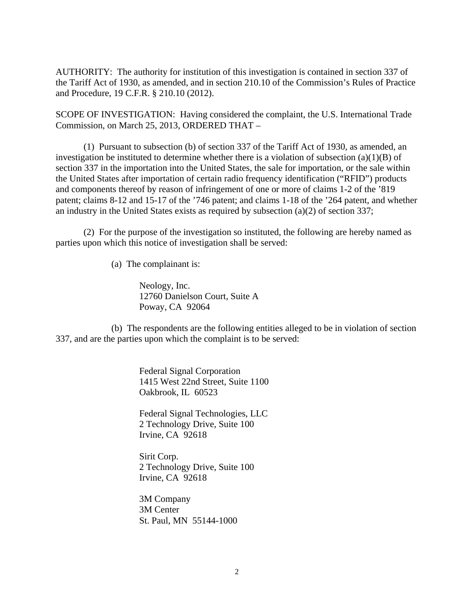AUTHORITY: The authority for institution of this investigation is contained in section 337 of the Tariff Act of 1930, as amended, and in section 210.10 of the Commission's Rules of Practice and Procedure, 19 C.F.R. § 210.10 (2012).

SCOPE OF INVESTIGATION: Having considered the complaint, the U.S. International Trade Commission, on March 25, 2013, ORDERED THAT –

 (1) Pursuant to subsection (b) of section 337 of the Tariff Act of 1930, as amended, an investigation be instituted to determine whether there is a violation of subsection  $(a)(1)(B)$  of section 337 in the importation into the United States, the sale for importation, or the sale within the United States after importation of certain radio frequency identification ("RFID") products and components thereof by reason of infringement of one or more of claims 1-2 of the '819 patent; claims 8-12 and 15-17 of the '746 patent; and claims 1-18 of the '264 patent, and whether an industry in the United States exists as required by subsection (a)(2) of section 337;

 (2) For the purpose of the investigation so instituted, the following are hereby named as parties upon which this notice of investigation shall be served:

(a) The complainant is:

 Neology, Inc. 12760 Danielson Court, Suite A Poway, CA 92064

 (b) The respondents are the following entities alleged to be in violation of section 337, and are the parties upon which the complaint is to be served:

> Federal Signal Corporation 1415 West 22nd Street, Suite 1100 Oakbrook, IL 60523

Federal Signal Technologies, LLC 2 Technology Drive, Suite 100 Irvine, CA 92618

Sirit Corp. 2 Technology Drive, Suite 100 Irvine, CA 92618

3M Company 3M Center St. Paul, MN 55144-1000